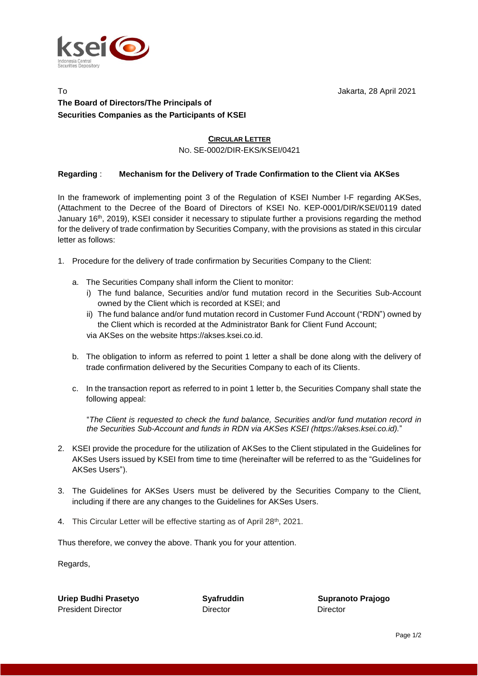

## To Jakarta, 28 April 2021 **The Board of Directors/The Principals of Securities Companies as the Participants of KSEI**

## **CIRCULAR LETTER**

NO. SE-0002/DIR-EKS/KSEI/0421

## **Regarding** : **Mechanism for the Delivery of Trade Confirmation to the Client via AKSes**

In the framework of implementing point 3 of the Regulation of KSEI Number I-F regarding AKSes, (Attachment to the Decree of the Board of Directors of KSEI No. KEP-0001/DIR/KSEI/0119 dated January 16<sup>th</sup>, 2019), KSEI consider it necessary to stipulate further a provisions regarding the method for the delivery of trade confirmation by Securities Company, with the provisions as stated in this circular letter as follows:

- 1. Procedure for the delivery of trade confirmation by Securities Company to the Client:
	- a. The Securities Company shall inform the Client to monitor:
		- i) The fund balance, Securities and/or fund mutation record in the Securities Sub-Account owned by the Client which is recorded at KSEI; and
		- ii) The fund balance and/or fund mutation record in Customer Fund Account ("RDN") owned by the Client which is recorded at the Administrator Bank for Client Fund Account;

via AKSes on the website https://akses.ksei.co.id.

- b. The obligation to inform as referred to point 1 letter a shall be done along with the delivery of trade confirmation delivered by the Securities Company to each of its Clients.
- c. In the transaction report as referred to in point 1 letter b, the Securities Company shall state the following appeal:

"*The Client is requested to check the fund balance, Securities and/or fund mutation record in the Securities Sub-Account and funds in RDN via AKSes KSEI (https://akses.ksei.co.id).*"

- 2. KSEI provide the procedure for the utilization of AKSes to the Client stipulated in the Guidelines for AKSes Users issued by KSEI from time to time (hereinafter will be referred to as the "Guidelines for AKSes Users").
- 3. The Guidelines for AKSes Users must be delivered by the Securities Company to the Client, including if there are any changes to the Guidelines for AKSes Users.
- 4. This Circular Letter will be effective starting as of April 28<sup>th</sup>, 2021.

Thus therefore, we convey the above. Thank you for your attention.

Regards,

**Uriep Budhi Prasetyo Syafruddin Supranoto Prajogo** President Director DirectorDirector